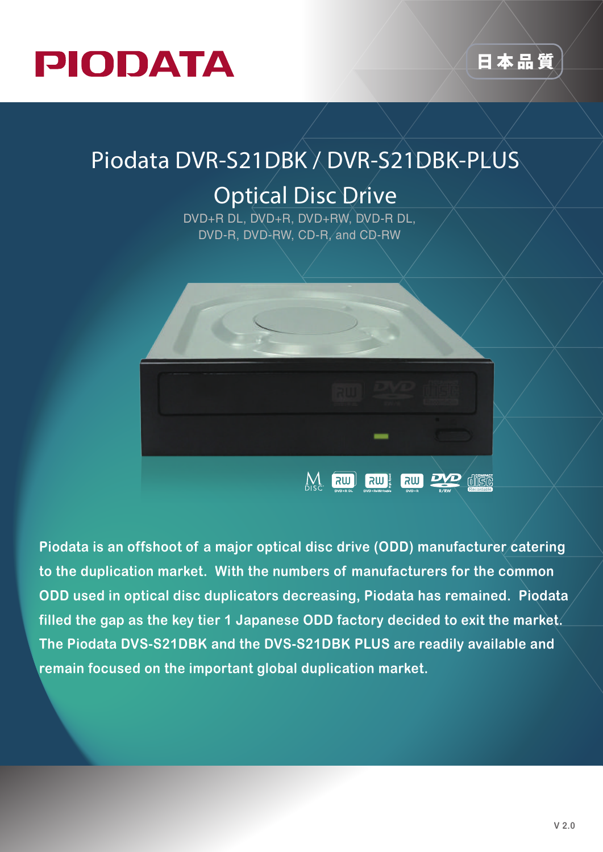



## **Piodata DVR-S21DBK / DVR-S21DBK-PLUS**

## **Optical Disc Drive**

DVD+R DL, DVD+R, DVD+RW, DVD-R DL, DVD-R, DVD-RW, CD-R, and CD-RW



**Piodata is an offshoot of a major optical disc drive (ODD) manufacturer catering to the duplication market. With the numbers of manufacturers for the common ODD used in optical disc duplicators decreasing, Piodata has remained. Piodata filled the gap as the key tier 1 Japanese ODD factory decided to exit the market. The Piodata DVS-S21DBK and the DVS-S21DBK PLUS are readily available and remain focused on the important global duplication market.**